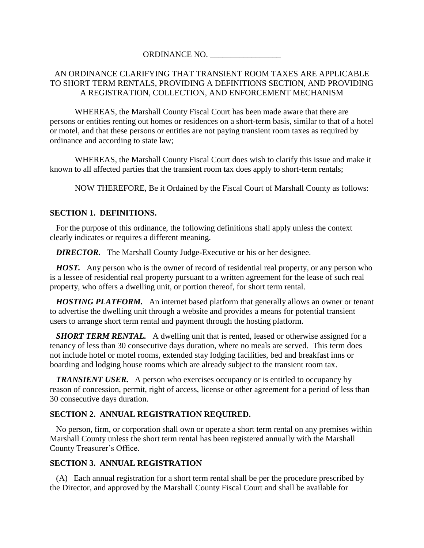# ORDINANCE NO.

# AN ORDINANCE CLARIFYING THAT TRANSIENT ROOM TAXES ARE APPLICABLE TO SHORT TERM RENTALS, PROVIDING A DEFINITIONS SECTION, AND PROVIDING A REGISTRATION, COLLECTION, AND ENFORCEMENT MECHANISM

WHEREAS, the Marshall County Fiscal Court has been made aware that there are persons or entities renting out homes or residences on a short-term basis, similar to that of a hotel or motel, and that these persons or entities are not paying transient room taxes as required by ordinance and according to state law;

WHEREAS, the Marshall County Fiscal Court does wish to clarify this issue and make it known to all affected parties that the transient room tax does apply to short-term rentals;

NOW THEREFORE, Be it Ordained by the Fiscal Court of Marshall County as follows:

### **SECTION 1. DEFINITIONS.**

 For the purpose of this ordinance, the following definitions shall apply unless the context clearly indicates or requires a different meaning.

*DIRECTOR.* The Marshall County Judge-Executive or his or her designee.

 *HOST.* Any person who is the owner of record of residential real property, or any person who is a lessee of residential real property pursuant to a written agreement for the lease of such real property, who offers a dwelling unit, or portion thereof, for short term rental.

 *HOSTING PLATFORM.* An internet based platform that generally allows an owner or tenant to advertise the dwelling unit through a website and provides a means for potential transient users to arrange short term rental and payment through the hosting platform.

*SHORT TERM RENTAL.* A dwelling unit that is rented, leased or otherwise assigned for a tenancy of less than 30 consecutive days duration, where no meals are served. This term does not include hotel or motel rooms, extended stay lodging facilities, bed and breakfast inns or boarding and lodging house rooms which are already subject to the transient room tax.

**TRANSIENT USER.** A person who exercises occupancy or is entitled to occupancy by reason of concession, permit, right of access, license or other agreement for a period of less than 30 consecutive days duration.

#### **SECTION 2. ANNUAL REGISTRATION REQUIRED.**

 No person, firm, or corporation shall own or operate a short term rental on any premises within Marshall County unless the short term rental has been registered annually with the Marshall County Treasurer's Office.

#### **SECTION 3. ANNUAL REGISTRATION**

 (A) Each annual registration for a short term rental shall be per the procedure prescribed by the Director, and approved by the Marshall County Fiscal Court and shall be available for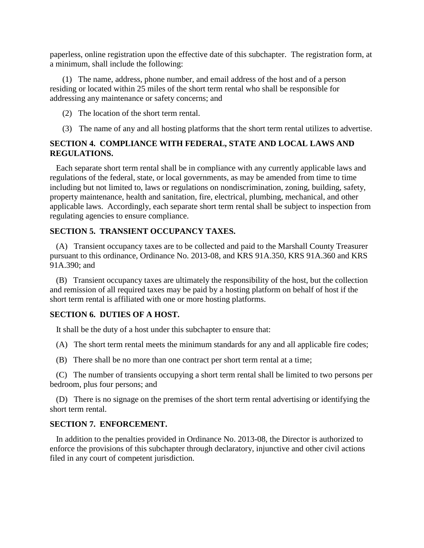paperless, online registration upon the effective date of this subchapter. The registration form, at a minimum, shall include the following:

 (1) The name, address, phone number, and email address of the host and of a person residing or located within 25 miles of the short term rental who shall be responsible for addressing any maintenance or safety concerns; and

(2) The location of the short term rental.

(3) The name of any and all hosting platforms that the short term rental utilizes to advertise.

# **SECTION 4. COMPLIANCE WITH FEDERAL, STATE AND LOCAL LAWS AND REGULATIONS.**

 Each separate short term rental shall be in compliance with any currently applicable laws and regulations of the federal, state, or local governments, as may be amended from time to time including but not limited to, laws or regulations on nondiscrimination, zoning, building, safety, property maintenance, health and sanitation, fire, electrical, plumbing, mechanical, and other applicable laws. Accordingly, each separate short term rental shall be subject to inspection from regulating agencies to ensure compliance.

## **SECTION 5. TRANSIENT OCCUPANCY TAXES.**

 (A) Transient occupancy taxes are to be collected and paid to the Marshall County Treasurer pursuant to this ordinance, Ordinance No. 2013-08, and KRS 91A.350, KRS 91A.360 and KRS 91A.390; and

 (B) Transient occupancy taxes are ultimately the responsibility of the host, but the collection and remission of all required taxes may be paid by a hosting platform on behalf of host if the short term rental is affiliated with one or more hosting platforms.

## **SECTION 6. DUTIES OF A HOST.**

It shall be the duty of a host under this subchapter to ensure that:

- (A) The short term rental meets the minimum standards for any and all applicable fire codes;
- (B) There shall be no more than one contract per short term rental at a time;

 (C) The number of transients occupying a short term rental shall be limited to two persons per bedroom, plus four persons; and

 (D) There is no signage on the premises of the short term rental advertising or identifying the short term rental.

## **SECTION 7. ENFORCEMENT.**

 In addition to the penalties provided in Ordinance No. 2013-08, the Director is authorized to enforce the provisions of this subchapter through declaratory, injunctive and other civil actions filed in any court of competent jurisdiction.